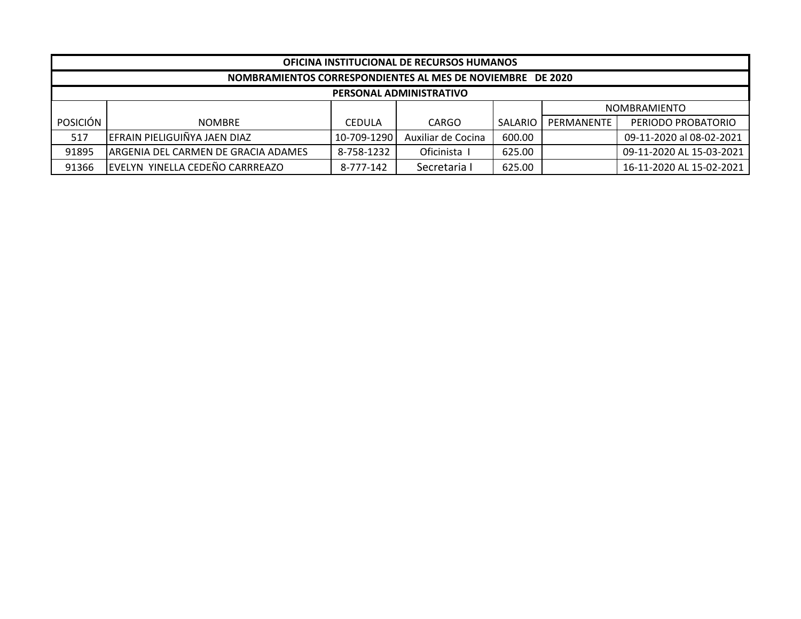| OFICINA INSTITUCIONAL DE RECURSOS HUMANOS                  |                                      |               |                    |         |                     |                          |  |  |  |  |
|------------------------------------------------------------|--------------------------------------|---------------|--------------------|---------|---------------------|--------------------------|--|--|--|--|
| NOMBRAMIENTOS CORRESPONDIENTES AL MES DE NOVIEMBRE DE 2020 |                                      |               |                    |         |                     |                          |  |  |  |  |
| PERSONAL ADMINISTRATIVO                                    |                                      |               |                    |         |                     |                          |  |  |  |  |
|                                                            |                                      |               |                    |         | <b>NOMBRAMIENTO</b> |                          |  |  |  |  |
| POSICIÓN                                                   | <b>NOMBRE</b>                        | <b>CEDULA</b> | <b>CARGO</b>       | SALARIO | <b>PERMANENTE</b>   | PERIODO PROBATORIO       |  |  |  |  |
| 517                                                        | IEFRAIN PIELIGUIÑYA JAEN DIAZ        | 10-709-1290   | Auxiliar de Cocina | 600.00  |                     | 09-11-2020 al 08-02-2021 |  |  |  |  |
| 91895                                                      | IARGENIA DEL CARMEN DE GRACIA ADAMES | 8-758-1232    | Oficinista         | 625.00  |                     | 09-11-2020 AL 15-03-2021 |  |  |  |  |
| 91366                                                      | EVELYN YINELLA CEDEÑO CARRREAZO      | 8-777-142     | Secretaria I       | 625.00  |                     | 16-11-2020 AL 15-02-2021 |  |  |  |  |